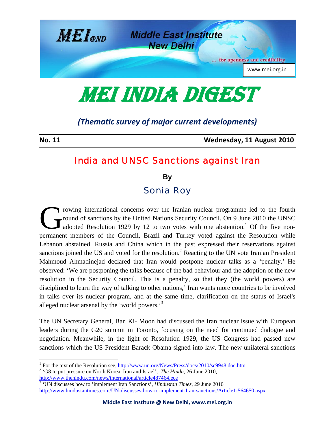

MEI INDIA DIGEST

## *(Thematic survey of major current developments)*

**No. 11 Wednesday, 11 August 2010**

## India and UNSC Sanctions against Iran

**By** 

## Sonia Roy

rowing international concerns over the Iranian nuclear programme led to the fourth round of sanctions by the United Nations Security Council. On 9 June 2010 the UNSC adopted Resolution 1929 by 12 to two votes with one abstention.<sup>1</sup> Of the five nonpermanent members of the Council, Brazil and Turkey voted against the Resolution while Lebanon abstained. Russia and China which in the past expressed their reservations against sanctions joined the US and voted for the resolution.<sup>2</sup> Reacting to the UN vote Iranian President Mahmoud Ahmadinejad declared that Iran would postpone nuclear talks as a 'penalty.' He observed: 'We are postponing the talks because of the bad behaviour and the adoption of the new resolution in the Security Council. This is a penalty, so that they (the world powers) are disciplined to learn the way of talking to other nations,' Iran wants more countries to be involved in talks over its nuclear program, and at the same time, clarification on the status of Israel's alleged nuclear arsenal by the 'world powers.<sup>3</sup>  $\mathbf{G}^{\text{row}}_{\text{adc}}$ 

The UN Secretary General, Ban Ki- Moon had discussed the Iran nuclear issue with European leaders during the G20 summit in Toronto, focusing on the need for continued dialogue and negotiation. Meanwhile, in the light of Resolution 1929, the US Congress had passed new sanctions which the US President Barack Obama signed into law. The new unilateral sanctions

<sup>&</sup>lt;sup>1</sup> For the text of the Resolution see,  $\frac{http://www.un.org/News/Press/docs/2010/sc9948.doc.htm}{2$ <br><sup>2</sup> 'C<sup>8</sup> to put pressure on North Korea, Iran and Israel'. *The Hindu* 26 June 2010.

 <sup>&#</sup>x27;G8 to put pressure on North Korea, Iran and Israel', *The Hindu,* 26 June 2010, http://www.thehindu.com/news/international/article487464.ece

<sup>&</sup>lt;sup>3</sup> UN discusses how to 'implement Iran Sanctions', *Hindustan Times*, 29 June 2010 http://www.hindustantimes.com/UN-discusses-how-to-implement-Iran-sanctions/Article1-564650.aspx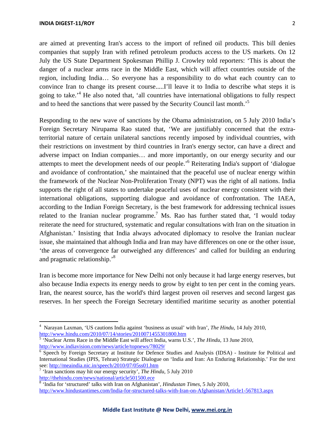are aimed at preventing Iran's access to the import of refined oil products. This bill denies companies that supply Iran with refined petroleum products access to the US markets. On 12 July the US State Department Spokesman Phillip J. Crowley told reporters: 'This is about the danger of a nuclear arms race in the Middle East, which will affect countries outside of the region, including India… So everyone has a responsibility to do what each country can to convince Iran to change its present course.....I'll leave it to India to describe what steps it is

going to take.<sup>4</sup> He also noted that, 'all countries have international obligations to fully respect

and to heed the sanctions that were passed by the Security Council last month.<sup>5</sup>

Responding to the new wave of sanctions by the Obama administration, on 5 July 2010 India's Foreign Secretary Nirupama Rao stated that, 'We are justifiably concerned that the extraterritorial nature of certain unilateral sanctions recently imposed by individual countries, with their restrictions on investment by third countries in Iran's energy sector, can have a direct and adverse impact on Indian companies… and more importantly, on our energy security and our attempts to meet the development needs of our people.<sup>56</sup> Reiterating India's support of 'dialogue and avoidance of confrontation,' she maintained that the peaceful use of nuclear energy within the framework of the Nuclear Non-Proliferation Treaty (NPT) was the right of all nations. India supports the right of all states to undertake peaceful uses of nuclear energy consistent with their international obligations, supporting dialogue and avoidance of confrontation. The IAEA, according to the Indian Foreign Secretary, is the best framework for addressing technical issues related to the Iranian nuclear programme.<sup>7</sup> Ms. Rao has further stated that, 'I would today reiterate the need for structured, systematic and regular consultations with Iran on the situation in Afghanistan.' Insisting that India always advocated diplomacy to resolve the Iranian nuclear issue, she maintained that although India and Iran may have differences on one or the other issue, 'the areas of convergence far outweighed any differences' and called for building an enduring and pragmatic relationship.'8

Iran is become more importance for New Delhi not only because it had large energy reserves, but also because India expects its energy needs to grow by eight to ten per cent in the coming years. Iran, the nearest source, has the world's third largest proven oil reserves and second largest gas reserves. In her speech the Foreign Secretary identified maritime security as another potential

<sup>4</sup> Narayan Laxman, 'US cautions India against 'business as usual' with Iran', *The Hindu*, 14 July 2010, http://www.hindu.com/2010/07/14/stories/2010071455301800.htm<br><sup>5</sup> 'Nuclear Arms Race in the Middle East will affect India, warns U.S.', *The Hindu*, 13 June 2010,

http://www.indiavision.com/news/article/topnews/78029/ 6

<sup>&</sup>lt;sup>6</sup> Speech by Foreign Secretary at Institute for Defence Studies and Analysis (IDSA) - Institute for Political and International Studies (IPIS, Tehran) Strategic Dialogue on 'India and Iran: An Enduring Relationship.' For the text see: http://meaindia.nic.in/speech/2010/07/05ss01.htm

<sup>&</sup>lt;sup>7</sup> 'Iran sanctions may hit our energy security', *The Hindu*, 5 July 2010 http://thehindu.com/news/national/article501500.ece

http://thehindu.com/news/national/article501500.ece<br><sup>8</sup> 'India for 'structured' talks with Iran on Afghanistan', *Hindustan Times*, 5 July 2010, http://www.hindustantimes.com/India-for-structured-talks-with-Iran-on-Afghanistan/Article1-567813.aspx